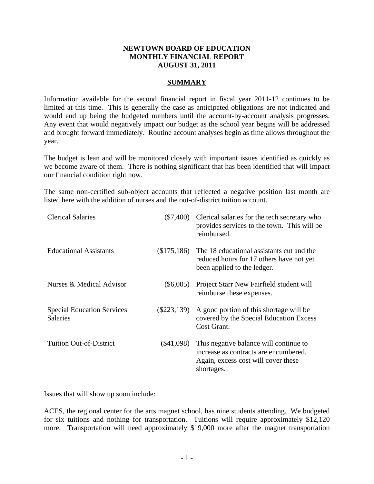## **NEWTOWN BOARD OF EDUCATION MONTHLY FINANCIAL REPORT AUGUST 31, 2011**

## **SUMMARY**

Information available for the second financial report in fiscal year 2011-12 continues to be limited at this time. This is generally the case as anticipated obligations are not indicated and would end up being the budgeted numbers until the account-by-account analysis progresses. Any event that would negatively impact our budget as the school year begins will be addressed and brought forward immediately. Routine account analyses begin as time allows throughout the year.

The budget is lean and will be monitored closely with important issues identified as quickly as we become aware of them. There is nothing significant that has been identified that will impact our financial condition right now.

The same non-certified sub-object accounts that reflected a negative position last month are listed here with the addition of nurses and the out-of-district tuition account.

| <b>Clerical Salaries</b>                             |               | (\$7,400) Clerical salaries for the tech secretary who<br>provides services to the town. This will be<br>reimbursed.                 |
|------------------------------------------------------|---------------|--------------------------------------------------------------------------------------------------------------------------------------|
| <b>Educational Assistants</b>                        |               | $(\$175,186)$ The 18 educational assistants cut and the<br>reduced hours for 17 others have not yet<br>been applied to the ledger.   |
| Nurses & Medical Advisor                             | $(\$6,005)$   | Project Starr New Fairfield student will<br>reimburse these expenses.                                                                |
| <b>Special Education Services</b><br><b>Salaries</b> | $(\$223,139)$ | A good portion of this shortage will be<br>covered by the Special Education Excess<br>Cost Grant.                                    |
| <b>Tuition Out-of-District</b>                       | $(\$41,098)$  | This negative balance will continue to<br>increase as contracts are encumbered.<br>Again, excess cost will cover these<br>shortages. |

Issues that will show up soon include:

ACES, the regional center for the arts magnet school, has nine students attending. We budgeted for six tuitions and nothing for transportation. Tuitions will require approximately \$12,120 more. Transportation will need approximately \$19,000 more after the magnet transportation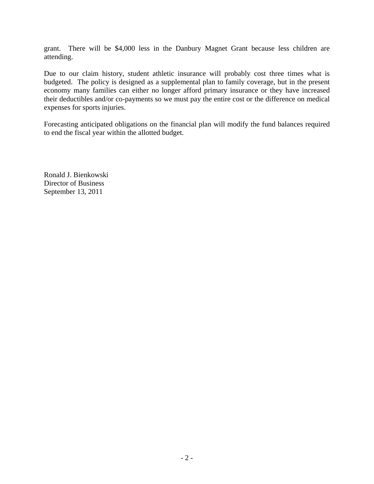grant. There will be \$4,000 less in the Danbury Magnet Grant because less children are attending.

Due to our claim history, student athletic insurance will probably cost three times what is budgeted. The policy is designed as a supplemental plan to family coverage, but in the present economy many families can either no longer afford primary insurance or they have increased their deductibles and/or co-payments so we must pay the entire cost or the difference on medical expenses for sports injuries.

Forecasting anticipated obligations on the financial plan will modify the fund balances required to end the fiscal year within the allotted budget.

Ronald J. Bienkowski Director of Business September 13, 2011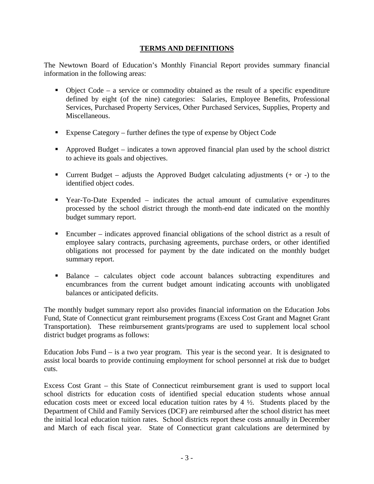# **TERMS AND DEFINITIONS**

The Newtown Board of Education's Monthly Financial Report provides summary financial information in the following areas:

- Object Code a service or commodity obtained as the result of a specific expenditure defined by eight (of the nine) categories: Salaries, Employee Benefits, Professional Services, Purchased Property Services, Other Purchased Services, Supplies, Property and Miscellaneous.
- Expense Category further defines the type of expense by Object Code
- Approved Budget indicates a town approved financial plan used by the school district to achieve its goals and objectives.
- Current Budget adjusts the Approved Budget calculating adjustments  $(+)$  or  $-)$  to the identified object codes.
- Year-To-Date Expended indicates the actual amount of cumulative expenditures processed by the school district through the month-end date indicated on the monthly budget summary report.
- Encumber indicates approved financial obligations of the school district as a result of employee salary contracts, purchasing agreements, purchase orders, or other identified obligations not processed for payment by the date indicated on the monthly budget summary report.
- Balance calculates object code account balances subtracting expenditures and encumbrances from the current budget amount indicating accounts with unobligated balances or anticipated deficits.

The monthly budget summary report also provides financial information on the Education Jobs Fund, State of Connecticut grant reimbursement programs (Excess Cost Grant and Magnet Grant Transportation). These reimbursement grants/programs are used to supplement local school district budget programs as follows:

Education Jobs Fund – is a two year program. This year is the second year. It is designated to assist local boards to provide continuing employment for school personnel at risk due to budget cuts.

Excess Cost Grant – this State of Connecticut reimbursement grant is used to support local school districts for education costs of identified special education students whose annual education costs meet or exceed local education tuition rates by  $4\frac{1}{2}$ . Students placed by the Department of Child and Family Services (DCF) are reimbursed after the school district has meet the initial local education tuition rates. School districts report these costs annually in December and March of each fiscal year. State of Connecticut grant calculations are determined by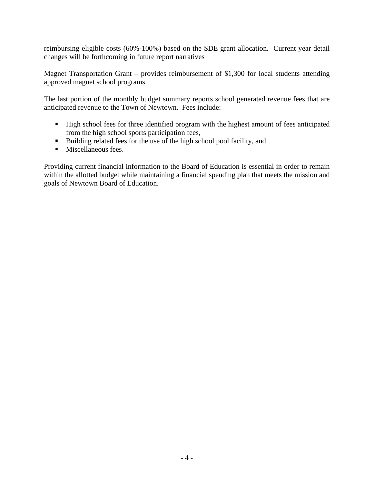reimbursing eligible costs (60%-100%) based on the SDE grant allocation. Current year detail changes will be forthcoming in future report narratives

Magnet Transportation Grant – provides reimbursement of \$1,300 for local students attending approved magnet school programs.

The last portion of the monthly budget summary reports school generated revenue fees that are anticipated revenue to the Town of Newtown. Fees include:

- High school fees for three identified program with the highest amount of fees anticipated from the high school sports participation fees,
- Building related fees for the use of the high school pool facility, and
- **Miscellaneous fees.**

Providing current financial information to the Board of Education is essential in order to remain within the allotted budget while maintaining a financial spending plan that meets the mission and goals of Newtown Board of Education.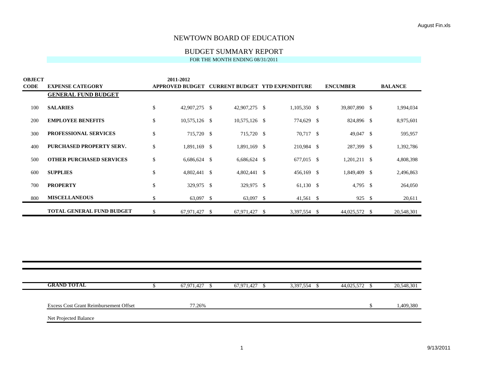# BUDGET SUMMARY REPORT

| <b>OBJECT</b> | 2011-2012                        |    |                        |  |                                       |                      |                 |                |
|---------------|----------------------------------|----|------------------------|--|---------------------------------------|----------------------|-----------------|----------------|
| <b>CODE</b>   | <b>EXPENSE CATEGORY</b>          |    | <b>APPROVED BUDGET</b> |  | <b>CURRENT BUDGET YTD EXPENDITURE</b> |                      | <b>ENCUMBER</b> | <b>BALANCE</b> |
|               | <b>GENERAL FUND BUDGET</b>       |    |                        |  |                                       |                      |                 |                |
| 100           | <b>SALARIES</b>                  | \$ | 42,907,275 \$          |  | 42,907,275 \$                         | $1,105,350$ \$       | 39,807,890 \$   | 1,994,034      |
| 200           | <b>EMPLOYEE BENEFITS</b>         | \$ | $10,575,126$ \$        |  | $10,575,126$ \$                       | 774,629 \$           | 824,896 \$      | 8,975,601      |
| 300           | <b>PROFESSIONAL SERVICES</b>     | \$ | 715,720 \$             |  | 715,720 \$                            | 70,717 \$            | 49,047 \$       | 595,957        |
| 400           | PURCHASED PROPERTY SERV.         | \$ | 1,891,169 \$           |  | 1,891,169 \$                          | 210,984 \$           | 287,399 \$      | 1,392,786      |
| 500           | <b>OTHER PURCHASED SERVICES</b>  | \$ | $6,686,624$ \$         |  | $6,686,624$ \$                        | 677,015 \$           | $1,201,211$ \$  | 4,808,398      |
| 600           | <b>SUPPLIES</b>                  | \$ | 4,802,441 \$           |  | 4,802,441 \$                          | 456,169 \$           | 1,849,409 \$    | 2,496,863      |
| 700           | <b>PROPERTY</b>                  | \$ | 329,975 \$             |  | 329,975 \$                            | 61,130 $\frac{1}{2}$ | $4,795$ \$      | 264,050        |
| 800           | <b>MISCELLANEOUS</b>             | \$ | 63,097 \$              |  | 63,097 \$                             | 41,561 \$            | 925 \$          | 20,611         |
|               | <b>TOTAL GENERAL FUND BUDGET</b> | \$ | 67,971,427 \$          |  | 67,971,427 \$                         | 3,397,554 \$         | 44,025,572 \$   | 20,548,301     |

| <b>GRAND TOTAL</b>                            | 67,971,427 | 67.971.427 | 3,397,554 | 44,025,572 | 20.548.301 |
|-----------------------------------------------|------------|------------|-----------|------------|------------|
| <b>Excess Cost Grant Reimbursement Offset</b> | 77.26%     |            |           |            | 1,409,380  |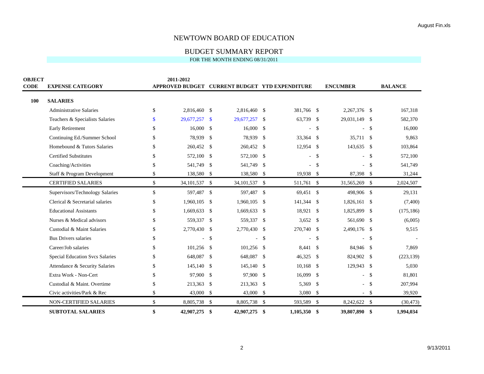## BUDGET SUMMARY REPORT

| <b>OBJECT</b> |                                        | 2011-2012    |                 |               |                                                |               |            |                    |                 |                    |                |  |
|---------------|----------------------------------------|--------------|-----------------|---------------|------------------------------------------------|---------------|------------|--------------------|-----------------|--------------------|----------------|--|
| <b>CODE</b>   | <b>EXPENSE CATEGORY</b>                |              |                 |               | APPROVED BUDGET CURRENT BUDGET YTD EXPENDITURE |               |            |                    | <b>ENCUMBER</b> |                    | <b>BALANCE</b> |  |
| 100           | <b>SALARIES</b>                        |              |                 |               |                                                |               |            |                    |                 |                    |                |  |
|               | Administrative Salaries                | \$           | 2,816,460 \$    |               | 2,816,460 \$                                   |               | 381,766 \$ |                    | 2,267,376 \$    |                    | 167,318        |  |
|               | Teachers & Specialists Salaries        | \$.          | 29,677,257      | -\$           | 29,677,257                                     | -\$           | 63,739 \$  |                    | 29,031,149 \$   |                    | 582,370        |  |
|               | <b>Early Retirement</b>                | S            | 16,000          | -\$           | 16,000                                         | -\$           |            | \$                 |                 | \$                 | 16,000         |  |
|               | Continuing Ed./Summer School           |              | 78,939          | -\$           | 78,939                                         | -\$           | 33,364 \$  |                    | 35,711 \$       |                    | 9,863          |  |
|               | Homebound & Tutors Salaries            | S            | 260,452         | -\$           | 260,452                                        | -\$           | 12,954     | -\$                | 143,635         | -\$                | 103,864        |  |
|               | <b>Certified Substitutes</b>           |              | 572,100         | -S            | 572,100                                        | -\$           |            | $\mathbf{\hat{S}}$ |                 | $\mathbf{\hat{S}}$ | 572,100        |  |
|               | Coaching/Activities                    |              | 541,749         | -\$           | 541,749                                        | -\$           |            | <sup>\$</sup>      |                 | $\mathbf{\hat{S}}$ | 541,749        |  |
|               | Staff & Program Development            | \$           | 138,580         | -\$           | 138,580                                        | -\$           | 19,938 \$  |                    | 87,398 \$       |                    | 31,244         |  |
|               | <b>CERTIFIED SALARIES</b>              | \$           | 34, 101, 537 \$ |               | 34, 101, 537 \$                                |               | 511,761 \$ |                    | 31,565,269      | -\$                | 2,024,507      |  |
|               | Supervisors/Technology Salaries        | \$           | 597,487         | -\$           | 597,487                                        | -\$           | 69,451 \$  |                    | 498,906 \$      |                    | 29,131         |  |
|               | Clerical & Secretarial salaries        | \$           | 1,960,105       | - \$          | 1,960,105                                      | -\$           | 141,344    | -\$                | 1,826,161       | -\$                | (7,400)        |  |
|               | <b>Educational Assistants</b>          | \$           | 1,669,633       | -\$           | 1,669,633                                      | -S            | 18,921     | -\$                | 1,825,899       | \$                 | (175, 186)     |  |
|               | Nurses & Medical advisors              |              | 559,337         | -\$           | 559,337                                        | -\$           | 3,652      | -S                 | 561,690         | -S                 | (6,005)        |  |
|               | Custodial & Maint Salaries             | \$           | 2,770,430       | -\$           | 2,770,430                                      | -\$           | 270,740    | -\$                | 2,490,176       | -\$                | 9,515          |  |
|               | <b>Bus Drivers salaries</b>            |              |                 | $\mathcal{S}$ |                                                | $\mathcal{S}$ |            | \$                 |                 | \$                 |                |  |
|               | Career/Job salaries                    |              | $101,256$ \$    |               | 101,256                                        | -\$           | 8,441      | -\$                | 84,946 \$       |                    | 7,869          |  |
|               | <b>Special Education Svcs Salaries</b> | S            | 648,087         | -\$           | 648,087                                        | \$            | 46,325     | \$                 | 824,902         | -\$                | (223, 139)     |  |
|               | Attendance & Security Salaries         |              | 145,140         | -\$           | 145,140                                        | -\$           | 10,168     | $\mathbf{\hat{S}}$ | 129,943 \$      |                    | 5,030          |  |
|               | Extra Work - Non-Cert                  | S            | 97,900          | -\$           | 97,900                                         | -\$           | 16,099     | \$                 |                 | -\$                | 81,801         |  |
|               | Custodial & Maint. Overtime            | \$           | 213,363         | -\$           | 213,363                                        | -\$           | 5,369      | $\mathcal{S}$      |                 | -\$                | 207,994        |  |
|               | Civic activities/Park & Rec            | \$           | 43,000          | -\$           | 43,000                                         | -\$           | 3,080      | \$                 |                 | -\$                | 39,920         |  |
|               | NON-CERTIFIED SALARIES                 | $\mathbb{S}$ | 8,805,738       | -\$           | 8,805,738                                      | -\$           | 593,589    | $\mathbb{S}$       | 8,242,622 \$    |                    | (30, 473)      |  |
|               | <b>SUBTOTAL SALARIES</b>               | \$           | 42,907,275      | \$            | 42,907,275                                     | \$            | 1,105,350  | \$                 | 39,807,890 \$   |                    | 1,994,034      |  |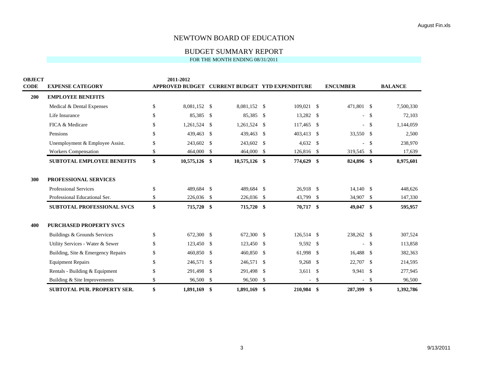## BUDGET SUMMARY REPORT

| <b>OBJECT</b> |                                    |               | 2011-2012              |                           |              |                    |                                       |              |                 |               |                |
|---------------|------------------------------------|---------------|------------------------|---------------------------|--------------|--------------------|---------------------------------------|--------------|-----------------|---------------|----------------|
| <b>CODE</b>   | <b>EXPENSE CATEGORY</b>            |               | <b>APPROVED BUDGET</b> |                           |              |                    | <b>CURRENT BUDGET YTD EXPENDITURE</b> |              | <b>ENCUMBER</b> |               | <b>BALANCE</b> |
| 200           | <b>EMPLOYEE BENEFITS</b>           |               |                        |                           |              |                    |                                       |              |                 |               |                |
|               | Medical & Dental Expenses          | \$            | 8,081,152              | -S                        | 8,081,152 \$ |                    | 109,021 \$                            |              | 471,801 \$      |               | 7,500,330      |
|               | Life Insurance                     | $\mathcal{S}$ | 85,385                 | -S                        | 85,385       | <sup>\$</sup>      | 13,282 \$                             |              |                 | $-$ \$        | 72,103         |
|               | FICA & Medicare                    | <sup>\$</sup> | 1,261,524              | $\mathbb{S}$              | 1,261,524    | \$                 | 117,465                               | $\mathbb{S}$ |                 | $-$ \$        | 1,144,059      |
|               | Pensions                           | \$            | 439,463                | $\mathbb{S}$              | 439,463      | \$                 | 403,413                               | \$           | 33,550 \$       |               | 2,500          |
|               | Unemployment & Employee Assist.    | $\mathcal{S}$ | 243,602                | $\mathbb{S}$              | 243,602      | \$                 | $4,632$ \$                            |              |                 | $\mathcal{S}$ | 238,970        |
|               | <b>Workers Compensation</b>        | \$            | 464,000 \$             |                           | 464,000 \$   |                    | 126,816 \$                            |              | 319,545 \$      |               | 17,639         |
|               | <b>SUBTOTAL EMPLOYEE BENEFITS</b>  | \$            | 10,575,126 \$          |                           | 10,575,126   | \$                 | 774,629 \$                            |              | 824,896 \$      |               | 8,975,601      |
|               |                                    |               |                        |                           |              |                    |                                       |              |                 |               |                |
| 300           | PROFESSIONAL SERVICES              |               |                        |                           |              |                    |                                       |              |                 |               |                |
|               | <b>Professional Services</b>       | \$            | 489,684                | $\mathbf{\hat{S}}$        | 489,684      | $\mathbf{\hat{S}}$ | 26,918 \$                             |              | $14,140$ \$     |               | 448,626        |
|               | Professional Educational Ser.      | \$            | 226,036 \$             |                           | 226,036      | \$                 | 43,799                                | \$           | 34,907 \$       |               | 147,330        |
|               | <b>SUBTOTAL PROFESSIONAL SVCS</b>  | \$            | 715,720                | $\boldsymbol{\mathsf{s}}$ | 715,720      | \$                 | 70,717                                | \$           | 49,047          | \$            | 595,957        |
| 400           | <b>PURCHASED PROPERTY SVCS</b>     |               |                        |                           |              |                    |                                       |              |                 |               |                |
|               | Buildings & Grounds Services       | \$            | 672,300 \$             |                           | 672,300      | \$                 | 126,514 \$                            |              | 238,262 \$      |               | 307,524        |
|               | Utility Services - Water & Sewer   | \$            | 123,450                | -\$                       | 123,450      | \$                 | 9,592                                 | \$           |                 | \$            | 113,858        |
|               | Building, Site & Emergency Repairs | \$            | 460,850 \$             |                           | 460,850      | <sup>\$</sup>      | 61,998 \$                             |              | 16,488 \$       |               | 382,363        |
|               | <b>Equipment Repairs</b>           | \$            | 246,571                | \$                        | 246,571      | -\$                | 9,268                                 | -\$          | 22,707          | -\$           | 214,595        |
|               | Rentals - Building & Equipment     | <sup>\$</sup> | 291,498                | \$                        | 291,498      | \$                 | $3,611$ \$                            |              | 9,941 \$        |               | 277,945        |
|               | Building & Site Improvements       | $\mathcal{S}$ | 96,500                 | $\mathbb{S}$              | 96,500       | \$                 |                                       | \$           |                 | \$            | 96,500         |
|               | <b>SUBTOTAL PUR. PROPERTY SER.</b> | \$            | 1.891.169              | \$                        | 1.891.169    | \$                 | 210,984                               | -\$          | 287,399         | \$            | 1.392.786      |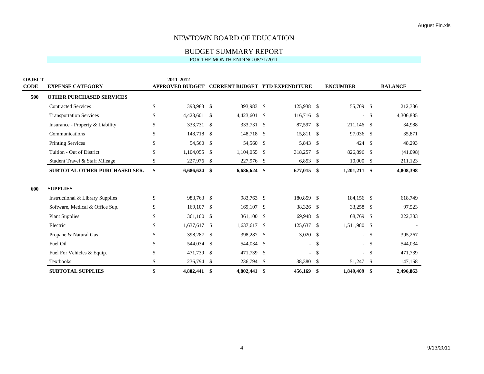# BUDGET SUMMARY REPORT

| <b>OBJECT</b> |                                  |             | 2011-2012  |      |              |              |                                                |     |                 |               |                |
|---------------|----------------------------------|-------------|------------|------|--------------|--------------|------------------------------------------------|-----|-----------------|---------------|----------------|
| <b>CODE</b>   | <b>EXPENSE CATEGORY</b>          |             |            |      |              |              | APPROVED BUDGET CURRENT BUDGET YTD EXPENDITURE |     | <b>ENCUMBER</b> |               | <b>BALANCE</b> |
| 500           | <b>OTHER PURCHASED SERVICES</b>  |             |            |      |              |              |                                                |     |                 |               |                |
|               | <b>Contracted Services</b>       | \$          | 393,983 \$ |      | 393,983 \$   |              | 125,938 \$                                     |     | 55,709          | -S            | 212,336        |
|               | <b>Transportation Services</b>   | $\mathbf S$ | 4,423,601  | -\$  | 4,423,601 \$ |              | 116,716 \$                                     |     |                 | -\$           | 4,306,885      |
|               | Insurance - Property & Liability | \$          | 333,731    | -\$  | 333,731      | -\$          | 87,597                                         | -\$ | 211,146         | -\$           | 34,988         |
|               | Communications                   | \$          | 148,718    | -\$  | 148,718      | -\$          | 15,811 \$                                      |     | 97,036 \$       |               | 35,871         |
|               | Printing Services                | \$          | 54,560     | -\$  | 54,560       | -S           | 5,843                                          | -S  | 424             | -S            | 48,293         |
|               | Tuition - Out of District        | \$          | 1,104,055  | \$   | 1,104,055    | $\mathbb{S}$ | 318,257                                        | \$  | 826,896         | -\$           | (41,098)       |
|               | Student Travel & Staff Mileage   | \$          | 227,976    | -\$  | 227,976      | -\$          | 6,853                                          | \$  | 10,000          | \$            | 211,123        |
|               | SUBTOTAL OTHER PURCHASED SER.    | \$          | 6,686,624  | \$   | 6,686,624    | \$           | 677,015                                        | \$  | $1,201,211$ \$  |               | 4,808,398      |
| 600           | <b>SUPPLIES</b>                  |             |            |      |              |              |                                                |     |                 |               |                |
|               | Instructional & Library Supplies | \$          | 983,763 \$ |      | 983,763 \$   |              | 180,859                                        | -\$ | 184,156 \$      |               | 618,749        |
|               | Software, Medical & Office Sup.  | \$          | 169,107    | -\$  | 169,107      | -\$          | 38,326 \$                                      |     | 33,258          | -\$           | 97,523         |
|               | <b>Plant Supplies</b>            | \$          | 361,100    | - \$ | 361,100      | -\$          | 69,948                                         | -S  | 68,769          | -S            | 222,383        |
|               | Electric                         | \$          | 1,637,617  | -\$  | 1,637,617    | -\$          | 125,637                                        | -\$ | 1,511,980 \$    |               |                |
|               |                                  |             |            |      |              |              |                                                |     |                 |               |                |
|               | Propane & Natural Gas            | \$          | 398,287    | \$   | 398,287      | -\$          | $3,020$ \$                                     |     | $\sim$          | \$            | 395,267        |
|               | Fuel Oil                         | \$          | 544,034    | -\$  | 544,034      | -\$          | $\sim$                                         | \$  |                 | $-$ \$        | 544,034        |
|               | Fuel For Vehicles & Equip.       | $\mathbf S$ | 471,739    | -S   | 471,739      | -\$          | $\sim$                                         | -\$ |                 | $\mathcal{S}$ | 471,739        |
|               | Textbooks                        | \$          | 236,794    | -\$  | 236,794      | -\$          | 38,380                                         | -\$ | 51,247          | -\$           | 147,168        |
|               | <b>SUBTOTAL SUPPLIES</b>         | \$          | 4,802,441  | \$   | 4,802,441 \$ |              | 456,169                                        | \$  | 1,849,409       | \$            | 2,496,863      |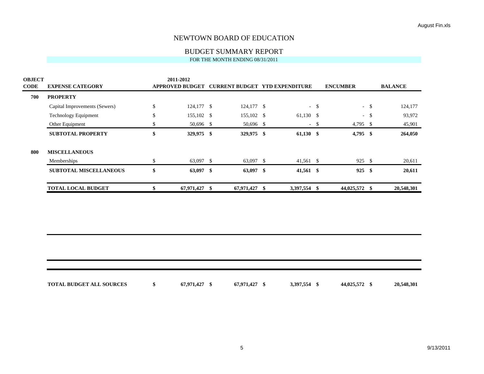# BUDGET SUMMARY REPORT

| <b>OBJECT</b> |                               |              | 2011-2012              |      |                                       |      |             |        |                 |        |                |
|---------------|-------------------------------|--------------|------------------------|------|---------------------------------------|------|-------------|--------|-----------------|--------|----------------|
| <b>CODE</b>   | <b>EXPENSE CATEGORY</b>       |              | <b>APPROVED BUDGET</b> |      | <b>CURRENT BUDGET YTD EXPENDITURE</b> |      |             |        | <b>ENCUMBER</b> |        | <b>BALANCE</b> |
| 700           | <b>PROPERTY</b>               |              |                        |      |                                       |      |             |        |                 |        |                |
|               | Capital Improvements (Sewers) | $\mathbb{S}$ | 124,177 \$             |      | $124,177$ \$                          |      |             | $-$ \$ |                 | $-5$   | 124,177        |
|               | <b>Technology Equipment</b>   | \$           | 155,102 \$             |      | 155,102 \$                            |      | $61,130$ \$ |        |                 | $-$ \$ | 93,972         |
|               | Other Equipment               | \$           | 50,696 \$              |      | 50,696 \$                             |      |             | $-$ \$ | 4,795 \$        |        | 45,901         |
|               | <b>SUBTOTAL PROPERTY</b>      | \$           | 329,975 \$             |      | 329,975 \$                            |      | $61,130$ \$ |        | 4,795           | - \$   | 264,050        |
| 800           | <b>MISCELLANEOUS</b>          |              |                        |      |                                       |      |             |        |                 |        |                |
|               | Memberships                   | \$           | 63,097 \$              |      | $63,097$ \$                           |      | $41,561$ \$ |        | 925S            |        | 20,611         |
|               | <b>SUBTOTAL MISCELLANEOUS</b> | \$           | $63,097$ \$            |      | $63,097$ \$                           |      | $41,561$ \$ |        | 925             | -\$    | 20,611         |
|               | <b>TOTAL LOCAL BUDGET</b>     |              | 67,971,427             | - \$ | 67,971,427                            | - \$ | 3,397,554   | - \$   | 44,025,572 \$   |        | 20,548,301     |
|               |                               |              |                        |      |                                       |      |             |        |                 |        |                |

| <b>TOTAL BUDGET ALL SOURCES</b> | 67,971,427 | 67,971,427 \$ | 3,397,554 \$ | 44,025,572 \$ | 20,548,301 |
|---------------------------------|------------|---------------|--------------|---------------|------------|